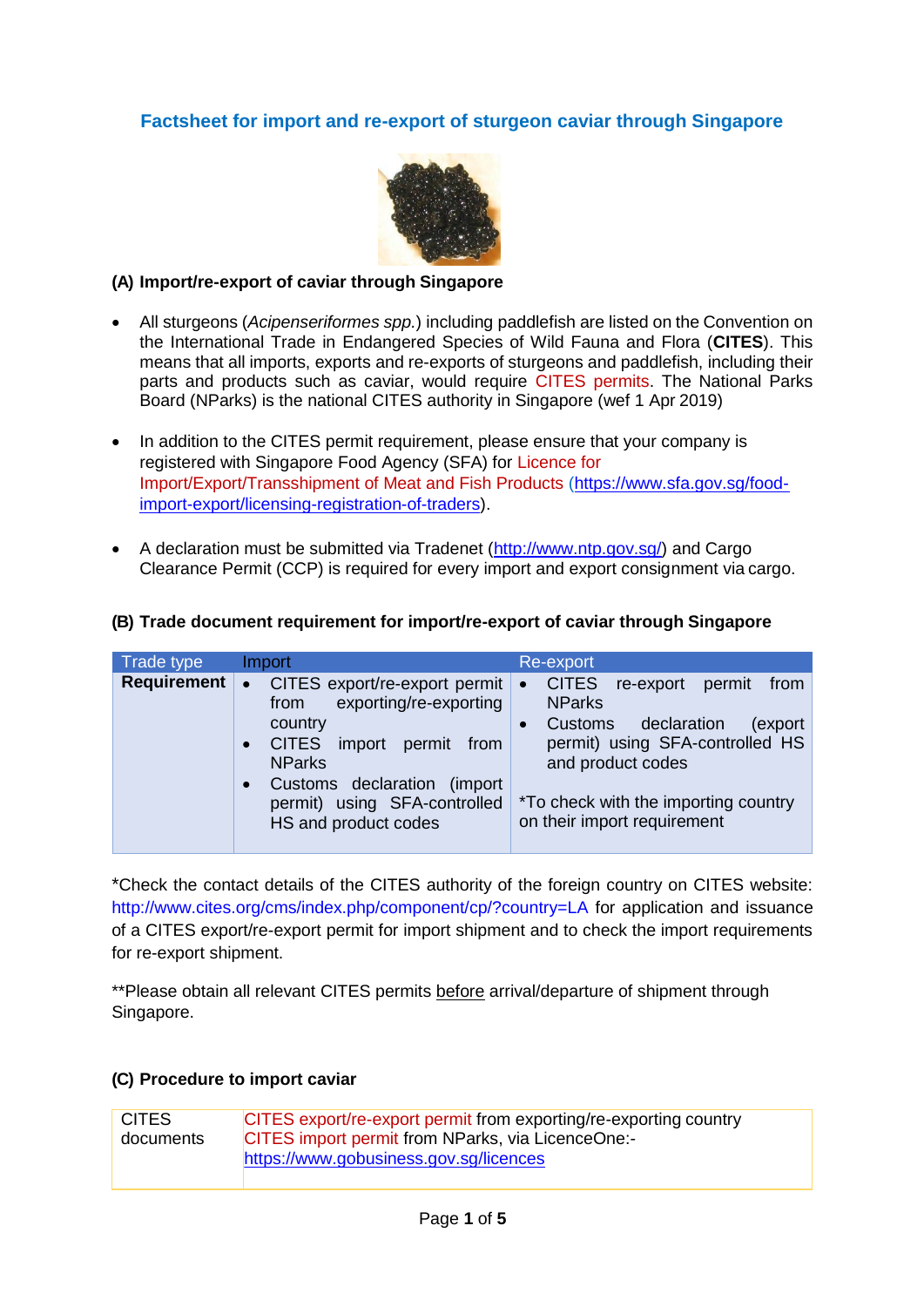## **Factsheet for import and re-export of sturgeon caviar through Singapore**



### **(A) Import/re-export of caviar through Singapore**

- All sturgeons (*Acipenseriformes spp.*) including paddlefish are listed on the Convention on the International Trade in Endangered Species of Wild Fauna and Flora (**CITES**). This means that all imports, exports and re-exports of sturgeons and paddlefish, including their parts and products such as caviar, would require CITES permits. The National Parks Board (NParks) is the national CITES authority in Singapore (wef 1 Apr 2019)
- In addition to the CITES permit requirement, please ensure that your company is registered with Singapore Food Agency (SFA) for Licence for Import/Export/Transshipment of Meat and Fish Products [\(https://www.sfa.gov.sg/food](https://www.sfa.gov.sg/food-import-export/licensing-registration-of-traders)[import-export/licensing-registration-of-traders\)](https://www.sfa.gov.sg/food-import-export/licensing-registration-of-traders).
- A declaration must be submitted via Tradenet [\(http://www.ntp.gov.sg/\)](http://www.ntp.gov.sg/) and Cargo Clearance Permit (CCP) is required for every import and export consignment via cargo.

## **(B) Trade document requirement for import/re-export of caviar through Singapore**

| Trade type         | Import                                                                                                                                                                                                                                                              | Re-export                                                                                                                                                                                                                                                         |
|--------------------|---------------------------------------------------------------------------------------------------------------------------------------------------------------------------------------------------------------------------------------------------------------------|-------------------------------------------------------------------------------------------------------------------------------------------------------------------------------------------------------------------------------------------------------------------|
| <b>Requirement</b> | CITES export/re-export permit<br>$\bullet$<br>exporting/re-exporting<br>from<br>country<br><b>CITES</b><br>import permit from<br>$\bullet$<br><b>NParks</b><br>Customs declaration<br>(import)<br>$\bullet$<br>permit) using SFA-controlled<br>HS and product codes | <b>CITES</b><br>re-export<br>permit<br>from<br>$\bullet$<br><b>NParks</b><br>declaration<br><b>Customs</b><br>(export<br>$\bullet$<br>permit) using SFA-controlled HS<br>and product codes<br>*To check with the importing country<br>on their import requirement |

\*Check the contact details of the CITES authority of the foreign country on CITES website: [http://www.cites.org/cms/index.php/component/cp/?country=LA f](http://www.cites.org/cms/index.php/component/cp/?country=LA)or application and issuance of a CITES export/re-export permit for import shipment and to check the import requirements for re-export shipment.

\*\*Please obtain all relevant CITES permits before arrival/departure of shipment through Singapore.

#### **(C) Procedure to import caviar**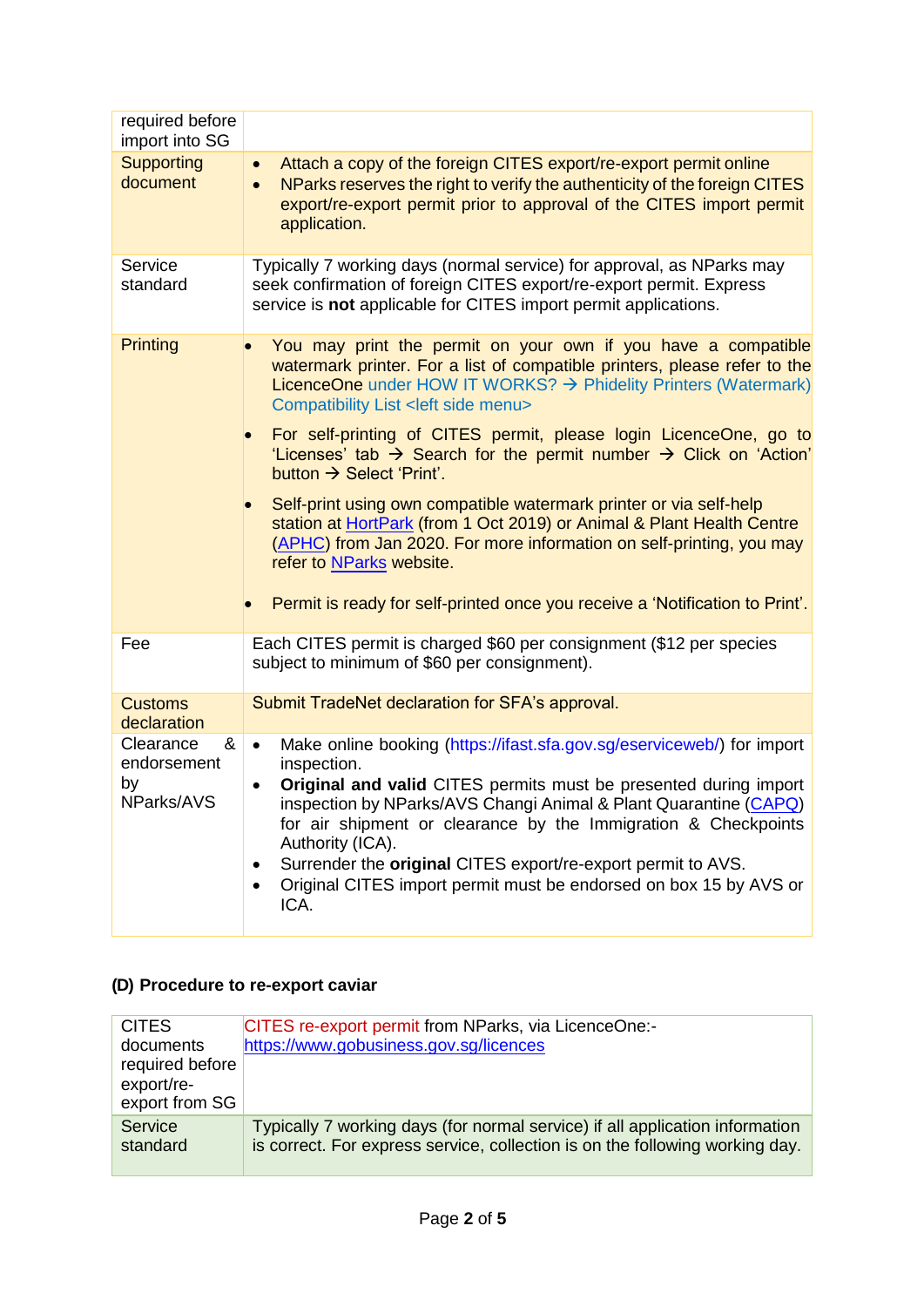| required before<br>import into SG                 |                                                                                                                                                                                                                                                                                                                                                                                                                                                                                                 |  |  |
|---------------------------------------------------|-------------------------------------------------------------------------------------------------------------------------------------------------------------------------------------------------------------------------------------------------------------------------------------------------------------------------------------------------------------------------------------------------------------------------------------------------------------------------------------------------|--|--|
| <b>Supporting</b><br>document                     | Attach a copy of the foreign CITES export/re-export permit online<br>$\bullet$<br>NParks reserves the right to verify the authenticity of the foreign CITES<br>export/re-export permit prior to approval of the CITES import permit<br>application.                                                                                                                                                                                                                                             |  |  |
| Service<br>standard                               | Typically 7 working days (normal service) for approval, as NParks may<br>seek confirmation of foreign CITES export/re-export permit. Express<br>service is not applicable for CITES import permit applications.                                                                                                                                                                                                                                                                                 |  |  |
| <b>Printing</b>                                   | You may print the permit on your own if you have a compatible<br>watermark printer. For a list of compatible printers, please refer to the<br>LicenceOne under HOW IT WORKS? $\rightarrow$ Phidelity Printers (Watermark)<br>Compatibility List <left menu="" side=""></left>                                                                                                                                                                                                                   |  |  |
|                                                   | For self-printing of CITES permit, please login LicenceOne, go to<br>'Licenses' tab $\rightarrow$ Search for the permit number $\rightarrow$ Click on 'Action'<br>button $\rightarrow$ Select 'Print'.                                                                                                                                                                                                                                                                                          |  |  |
|                                                   | Self-print using own compatible watermark printer or via self-help<br>station at HortPark (from 1 Oct 2019) or Animal & Plant Health Centre<br>(APHC) from Jan 2020. For more information on self-printing, you may<br>refer to NParks website.                                                                                                                                                                                                                                                 |  |  |
|                                                   | Permit is ready for self-printed once you receive a 'Notification to Print'.                                                                                                                                                                                                                                                                                                                                                                                                                    |  |  |
| Fee                                               | Each CITES permit is charged \$60 per consignment (\$12 per species<br>subject to minimum of \$60 per consignment).                                                                                                                                                                                                                                                                                                                                                                             |  |  |
| <b>Customs</b><br>declaration                     | Submit TradeNet declaration for SFA's approval.                                                                                                                                                                                                                                                                                                                                                                                                                                                 |  |  |
| Clearance<br>&<br>endorsement<br>by<br>NParks/AVS | Make online booking (https://ifast.sfa.gov.sg/eserviceweb/) for import<br>$\bullet$<br>inspection.<br>Original and valid CITES permits must be presented during import<br>$\bullet$<br>inspection by NParks/AVS Changi Animal & Plant Quarantine (CAPQ)<br>for air shipment or clearance by the Immigration & Checkpoints<br>Authority (ICA).<br>Surrender the original CITES export/re-export permit to AVS.<br>Original CITES import permit must be endorsed on box 15 by AVS or<br>٠<br>ICA. |  |  |

# **(D) Procedure to re-export caviar**

| <b>CITES</b>        | CITES re-export permit from NParks, via LicenceOne:-                                                                                                         |
|---------------------|--------------------------------------------------------------------------------------------------------------------------------------------------------------|
| documents           | https://www.gobusiness.gov.sg/licences                                                                                                                       |
| required before     |                                                                                                                                                              |
| export/re-          |                                                                                                                                                              |
| export from SG      |                                                                                                                                                              |
| Service<br>standard | Typically 7 working days (for normal service) if all application information<br>is correct. For express service, collection is on the following working day. |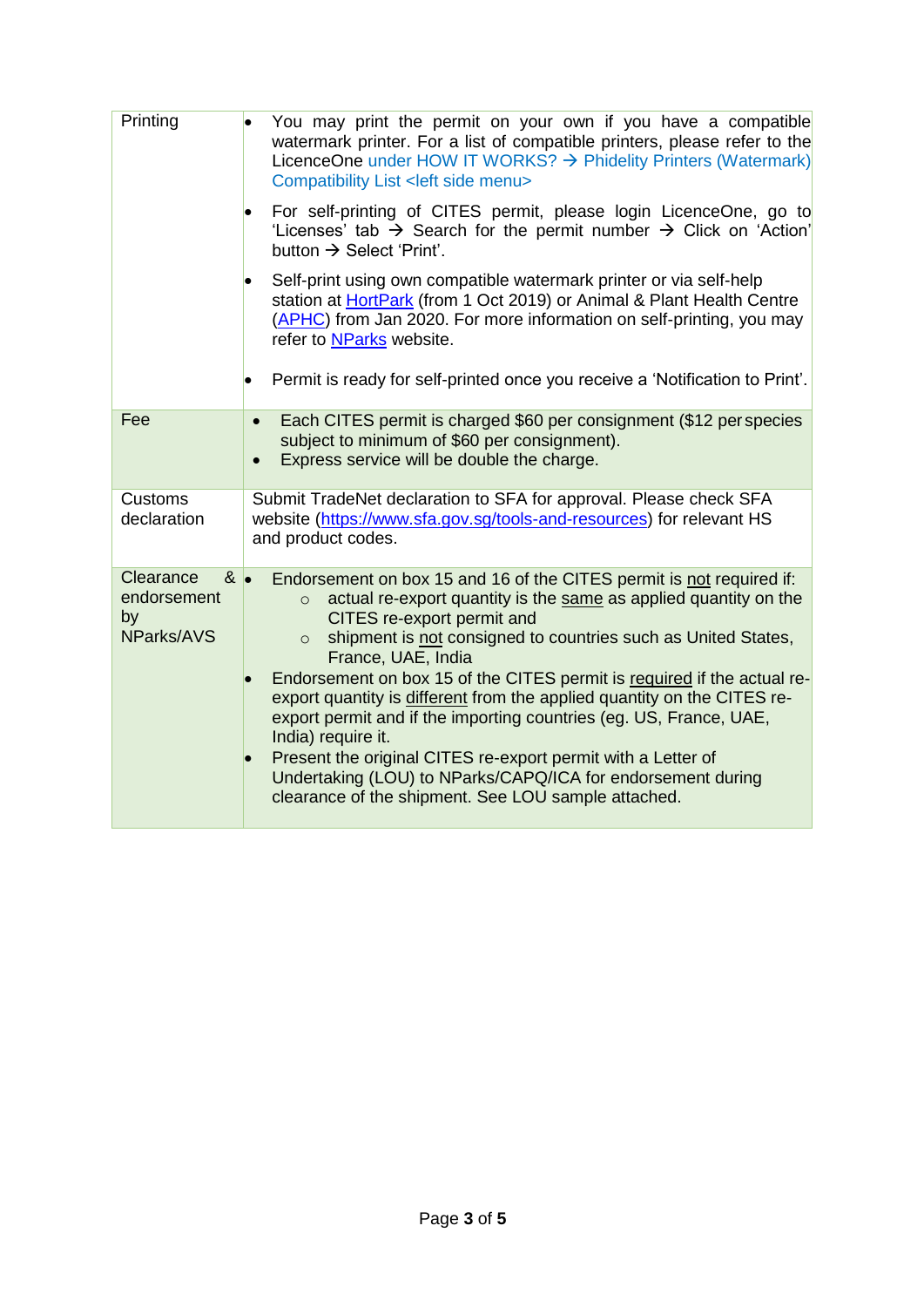| You may print the permit on your own if you have a compatible<br>watermark printer. For a list of compatible printers, please refer to the<br>LicenceOne under HOW IT WORKS? $\rightarrow$ Phidelity Printers (Watermark)<br>Compatibility List < left side menu>                                                                                                                                                                                                                                                                                                                                                                                                                                                                           |
|---------------------------------------------------------------------------------------------------------------------------------------------------------------------------------------------------------------------------------------------------------------------------------------------------------------------------------------------------------------------------------------------------------------------------------------------------------------------------------------------------------------------------------------------------------------------------------------------------------------------------------------------------------------------------------------------------------------------------------------------|
| For self-printing of CITES permit, please login LicenceOne, go to<br>'Licenses' tab $\rightarrow$ Search for the permit number $\rightarrow$ Click on 'Action'<br>button $\rightarrow$ Select 'Print'.                                                                                                                                                                                                                                                                                                                                                                                                                                                                                                                                      |
| Self-print using own compatible watermark printer or via self-help<br>station at HortPark (from 1 Oct 2019) or Animal & Plant Health Centre<br>(APHC) from Jan 2020. For more information on self-printing, you may<br>refer to NParks website.                                                                                                                                                                                                                                                                                                                                                                                                                                                                                             |
| Permit is ready for self-printed once you receive a 'Notification to Print'.<br>$\bullet$                                                                                                                                                                                                                                                                                                                                                                                                                                                                                                                                                                                                                                                   |
| Each CITES permit is charged \$60 per consignment (\$12 per species<br>$\bullet$<br>subject to minimum of \$60 per consignment).<br>Express service will be double the charge.<br>$\bullet$                                                                                                                                                                                                                                                                                                                                                                                                                                                                                                                                                 |
| Submit TradeNet declaration to SFA for approval. Please check SFA<br>website (https://www.sfa.gov.sg/tools-and-resources) for relevant HS<br>and product codes.                                                                                                                                                                                                                                                                                                                                                                                                                                                                                                                                                                             |
| $8 \bullet$<br>Endorsement on box 15 and 16 of the CITES permit is not required if:<br>actual re-export quantity is the same as applied quantity on the<br>$\circ$<br>CITES re-export permit and<br>shipment is not consigned to countries such as United States,<br>$\Omega$<br>France, UAE, India<br>Endorsement on box 15 of the CITES permit is required if the actual re-<br>export quantity is different from the applied quantity on the CITES re-<br>export permit and if the importing countries (eg. US, France, UAE,<br>India) require it.<br>Present the original CITES re-export permit with a Letter of<br>Undertaking (LOU) to NParks/CAPQ/ICA for endorsement during<br>clearance of the shipment. See LOU sample attached. |
|                                                                                                                                                                                                                                                                                                                                                                                                                                                                                                                                                                                                                                                                                                                                             |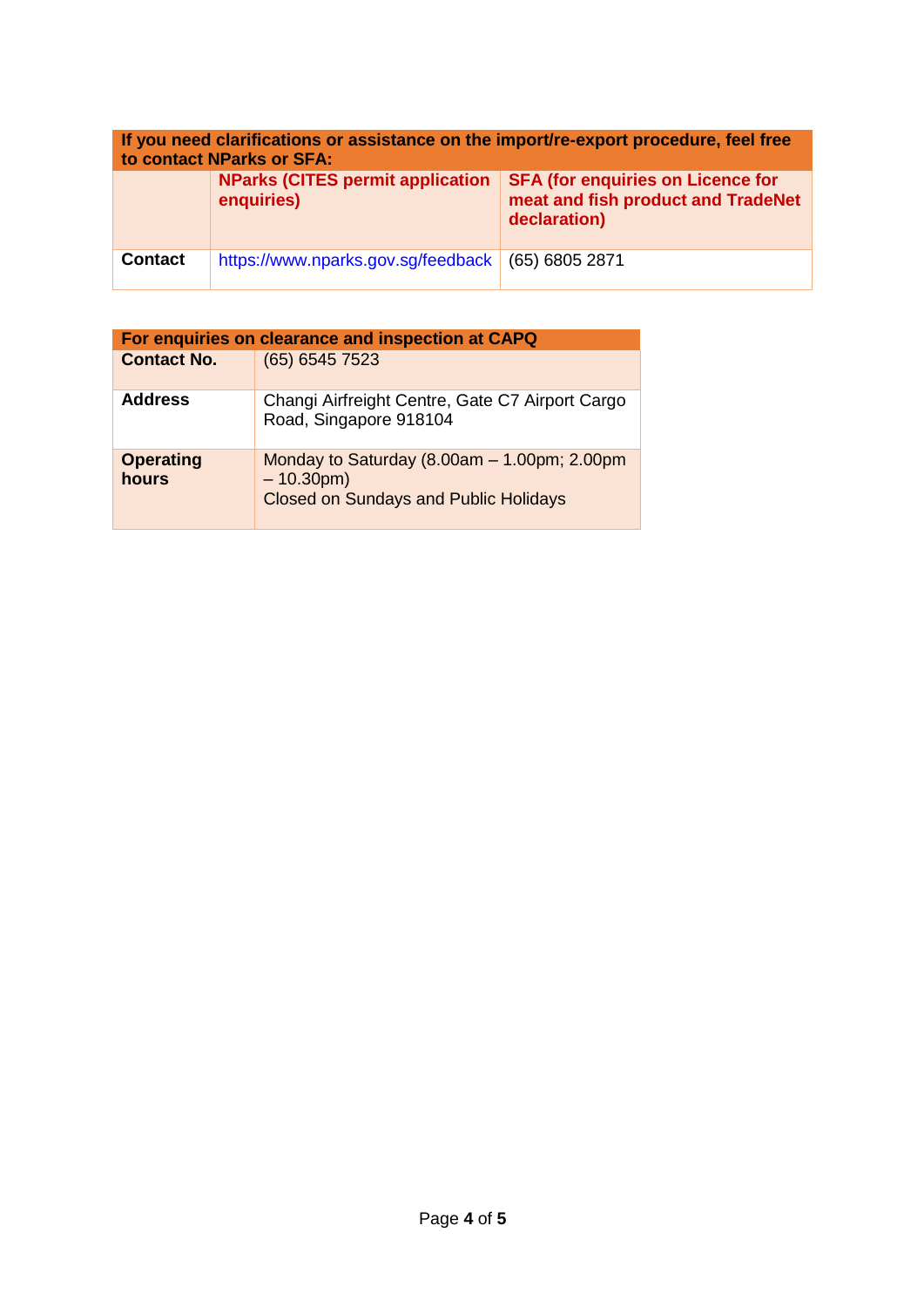| If you need clarifications or assistance on the import/re-export procedure, feel free<br>to contact NParks or SFA: |                                                       |                                                                                                |  |  |
|--------------------------------------------------------------------------------------------------------------------|-------------------------------------------------------|------------------------------------------------------------------------------------------------|--|--|
|                                                                                                                    | <b>NParks (CITES permit application</b><br>enquiries) | <b>SFA (for enquiries on Licence for</b><br>meat and fish product and TradeNet<br>declaration) |  |  |
| <b>Contact</b>                                                                                                     | https://www.nparks.gov.sg/feedback                    | $(65)$ 6805 2871                                                                               |  |  |

| For enquiries on clearance and inspection at CAPQ |                                                                                                                |  |  |
|---------------------------------------------------|----------------------------------------------------------------------------------------------------------------|--|--|
| <b>Contact No.</b>                                | (65) 6545 7523                                                                                                 |  |  |
| <b>Address</b>                                    | Changi Airfreight Centre, Gate C7 Airport Cargo<br>Road, Singapore 918104                                      |  |  |
| <b>Operating</b><br>hours                         | Monday to Saturday $(8.00am - 1.00pm; 2.00pm)$<br>$-10.30$ pm)<br><b>Closed on Sundays and Public Holidays</b> |  |  |